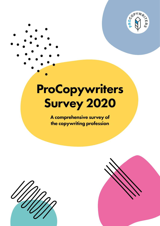

# ProCopywriters Survey 2020

A comprehensive survey of the copywriting profession



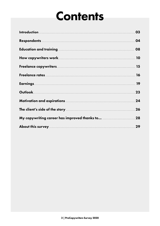# **Contents**

| My copywriting career has improved thanks to  28 |  |
|--------------------------------------------------|--|
|                                                  |  |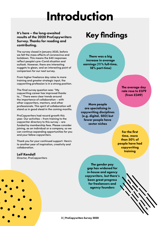# Introduction

It's here – the long-awaited results of the 2020 ProCopywriters Survey. Thanks for reading and contributing.

The survey closed in January 2020, before we felt the mass effects of coronavirus and lockdown. This means the 640 responses reflect people's pre-Covid situation and outlook. However, there are interesting nuggets to glean, and an interesting point of comparison for our next survey.

From higher freelance day rates to more training and greater strategic input, the copywriting profession is in a strong position.

The final survey question was: "My copywriting career has improved thanks to…" There were clear trends around the importance of collaboration – with other copywriters, mentors, and other professionals. This spirit of collaboration will stand us in good stead in the coming months.

ProCopywriters had record growth this year. Our activities – from training to the copywriter directory to this survey – are funded by membership fees. Please consider joining, as an individual or a company, so we can continue expanding opportunities for you and your fellow copywriters.

Thank you for your continued support. Here's to another year of inspiration, creativity and collaboration.

#### Leif Kendall

Director, ProCopywriters

# Key findings

There was a big increase in average earnings (11% full-time, 18% part-time)

> The average day rate rose to £379 (from £349)

More people are specialising in copywriting disciplines (e.g. digital, SEO) but fewer people have sector niches

> For the first time, more than 50% of people have had copywriting training

The gender pay gap has widened for in-house and agency copywriters, but there's been great progress for freelancers and agency founders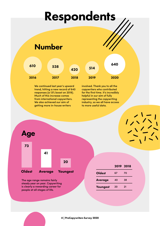# Respondents

### Number

| 610  | 538  | 420  | 514  | 640  |
|------|------|------|------|------|
| 2016 | 2017 | 2018 | 2019 | 2020 |

We continued last year's upward trend, hitting a new record of 640 responses (a 13% boost on 2019). Much of this increase comes from international copywriters. We also achieved our aim of getting more in-house writers

involved. Thank you to all the copywriters who contributed for the first time. It's incredibly helpful in our aim of fully representing the copywriting industry, so we all have access to more useful data.



The age range remains fairly steady year on year. Copywriting is clearly a rewarding career for people at all stages of life.

|                |    | 2019 2018 |
|----------------|----|-----------|
| <b>Oldest</b>  | 67 | 70        |
| <b>Average</b> | 40 | 38        |
| Youngest       | 20 | 21        |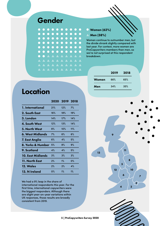### Gender

| .                   |  |
|---------------------|--|
| .                   |  |
| <b>.</b>            |  |
|                     |  |
| <b>.</b>            |  |
| <b>AAAAAAAAAA</b>   |  |
| <b>AAAAAAAAAA</b>   |  |
| A A A A A A A A A A |  |
|                     |  |

#### Women (62%)

#### ▲ Men (38%)

Women continue to outnumber men, but the divide shrank slightly compared with last year. For context, more women are ProCopywriters members than men, so we're not surprised at this respondent breakdown.

|       | 2019 | 2018 |
|-------|------|------|
| Women | 66%  | 65%  |
| Men   | 34%  | 35%  |

 $\overline{6}$ 

13

12

4

6

5

11

2

10

8

3

7

### Location

|                          | 2020 | 2019 2018 |     |
|--------------------------|------|-----------|-----|
| 1. International         | 21%  | 12%       | 7%  |
| 2. South East            | 16%  | 18%       | 19% |
| 3. London                | 14%  | 17%       | 14% |
| 4. South West            | 12%  | 13%       | 14% |
| <b>5. North West</b>     | 8%   | 10%       | 11% |
| 6. West Midlands         | 7%   | 6%        | 6%  |
| 7. East Anglia           | 6%   | 4%        | 5%  |
| 8. Yorks & Humber        | 5%   | 8%        | 9%  |
| 9. Scotland              | 4%   | 4%        | 5%  |
| <b>10. East Midlands</b> | 3%   | 3%        | 3%  |
| 11. North East           | 2%   | $1\%$     | 0%  |
| 12. Wales                | 2%   | 2%        | 4%  |
| 13. N Ireland            | 0%   | $1\%$     | 1%  |

We had a 9% leap in the share of international respondents this year. For the first time, international copywriters were the biggest responders. Although there are slight year-on-year variations within UK responses, those results are broadly consistent from 2019.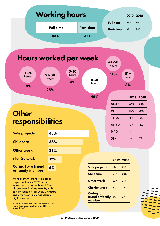|                                                                                                                 | <b>Working hours</b> |                         |                     |                                      |                 | 2019 2018  |
|-----------------------------------------------------------------------------------------------------------------|----------------------|-------------------------|---------------------|--------------------------------------|-----------------|------------|
|                                                                                                                 | <b>Full-time</b>     |                         | <b>Part-time</b>    | <b>Full-time</b><br><b>Part-time</b> | 64%<br>36%      | 70%<br>30% |
|                                                                                                                 | 68%                  |                         | 32%                 |                                      |                 |            |
|                                                                                                                 |                      |                         |                     |                                      |                 |            |
|                                                                                                                 |                      |                         |                     |                                      |                 |            |
| <b>Hours worked per week</b>                                                                                    |                      |                         |                     | 41-50<br>hours                       |                 |            |
| $11 - 20$<br>hours                                                                                              | $21 - 30$<br>hours   | $0 - 10$<br>hours<br>3% | $31 - 40$           | 11%                                  | $51 +$<br>hours |            |
| 13%                                                                                                             | 25%                  |                         | hours               |                                      | 3%              |            |
|                                                                                                                 |                      |                         | 45%                 |                                      |                 | 2019 2018  |
|                                                                                                                 |                      |                         |                     | $31 - 40$                            | 45%             | 45%        |
| <b>Other</b>                                                                                                    |                      |                         |                     | $21 - 30$                            | 20%             | 20%        |
|                                                                                                                 |                      |                         |                     | $11 - 20$                            | 15%             | 13%        |
| responsibilities                                                                                                |                      |                         |                     | 41-50                                | $12\%$          | 13%        |
| <b>Side projects</b>                                                                                            | 48%                  |                         |                     | $0 - 10$                             | 4%              | 4%         |
| <b>Childcare</b>                                                                                                | 36%                  |                         |                     | $51+$                                | 3%              | 5%         |
|                                                                                                                 |                      |                         |                     |                                      |                 |            |
| <b>Other work</b>                                                                                               | 33%                  |                         |                     |                                      |                 |            |
| <b>Charity work</b>                                                                                             | 12%                  |                         |                     | 2019 2018                            |                 |            |
| <b>Caring for a friend</b><br>or family member                                                                  | 6%                   |                         | Side projects       | 25%                                  | 26%             |            |
|                                                                                                                 |                      |                         | <b>Childcare</b>    | 24%                                  | 23%             |            |
| More copywriters took on other<br>responsibilities in 2020, with                                                |                      |                         | <b>Other work</b>   | 22%                                  | 21%             |            |
| increases across the board. The<br>biggest was in side projects, with a<br>23% increase on last year. Childcare |                      |                         | <b>Charity work</b> | 3%                                   | 2%              |            |
|                                                                                                                 |                      |                         | <b>Caring for</b>   |                                      |                 |            |

6 | ProCopywriters Survey 2020

 $\overline{\phantom{a}}$ ۵

(Note: These don't add up to 100% because some respondents have more than one additional

responsibility.)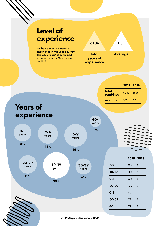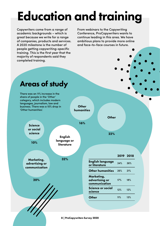# Education and training

Copywriters come from a range of academic backgrounds – which is great because we write for a range of companies, products and services. A 2020 milestone is the number of people getting copywriting-specific training. This is the first year that the majority of respondents said they completed training.

From webinars to the Copywriting Conference, ProCopywriters wants to continue leading in this area. We have ambitious plans to provide more online and face-to-face courses in future.

# Areas of study

| 'Other humanities'.                           | business. There was a 10% drop in | <b>Other</b><br>humanities                    |     |           |  |
|-----------------------------------------------|-----------------------------------|-----------------------------------------------|-----|-----------|--|
|                                               |                                   | <b>Other</b>                                  |     |           |  |
| <b>Science</b>                                |                                   | 16%                                           |     |           |  |
| or social<br>science<br>10%                   | <b>English</b><br>language or     | 22%                                           |     |           |  |
|                                               | literature                        |                                               |     |           |  |
|                                               |                                   |                                               |     | 2019 2018 |  |
| Marketing,<br>advertising or<br>communication | 32%                               | <b>English language</b><br>or literature      | 34% | 36%       |  |
|                                               |                                   | <b>Other humanities</b>                       | 26% | 21%       |  |
| 20%                                           |                                   | Marketing,<br>advertising or<br>communication | 17% | 18%       |  |
|                                               |                                   | Science or social<br>science                  | 12% | 12%       |  |
|                                               |                                   | <b>Other</b>                                  | 11% | 13%       |  |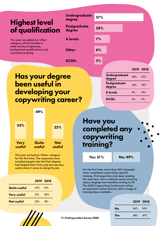## Highest level of qualification

| This year we added an 'Other'   |
|---------------------------------|
| category, which includes a      |
| wide variety of diplomas,       |
| professional qualifications and |
| vocational training.            |
|                                 |

| <b>Undergraduate</b><br>degree | 57%   |
|--------------------------------|-------|
| <b>Postgraduate</b><br>degree  | 28%   |
| <b>A</b> levels                | 7%    |
| Other                          | 6%    |
| GCSEs                          | $2\%$ |

## Has your degree been useful in developing your copywriting career?



This year we had an 'Other' category for the first time. The responses here included people who felt their degree had helped them find a job but was less useful when it came to doing the job.

|                    |     | 2019 2018 |
|--------------------|-----|-----------|
| Quite useful       | 47% | .51%      |
| <b>Very useful</b> | 31% | 30%       |
| Not useful         | 22% | 19%       |



| <b>Have you</b> |               |  |
|-----------------|---------------|--|
|                 | completed any |  |
| copywriting     |               |  |
| training?       |               |  |

Yes: 51% No: 49%

For the first time, more than 50% of people have completed copywriting-specific training. ProCopywriters has been leading the way here, with a webinar series covering topics ranging from headline writing to UX. The 2020 Copywriting Conference will be an expansive online festival, with a range of training days available.

|     | 2019 2018  |  |
|-----|------------|--|
| No  | $54\%$ 53% |  |
| Yes | 46% 47%    |  |
|     |            |  |

9 | ProCopywriters Survey 2020

#### 2019 2018

| Undergraduate<br>degree | 58% | 57% |
|-------------------------|-----|-----|
| Postgraduate<br>degree  | 32% | 29% |
| <b>A</b> levels         | 6%  | 10% |
| <b>GCSEs</b>            | 4%  | 4%  |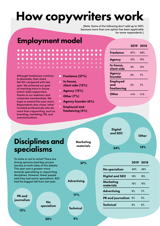# How copywriters work

(Note: Some of the following don't add up to 100% because more than one option has been applicable for some respondents.)

### Employment model

**. . . . . . . . . . . . . . . . .** . . .

П

 $A + + +$ 

 $\blacksquare$ m.

Although freelancers continue to dominate, their share fell 10% compared with last year. We achieved our goal of reaching more in-house (client-side) copywriters, thanks to our webinars and corporate memberships. We hope to extend this even more. Respondents who chose 'other' included professionals who do more than copywriting, such as branding, marketing, PR, and communications.

 $\bullet$   $\bullet$   $\bullet$   $\bullet$   $\bullet$   $\bullet$   $\bullet$   $\bullet$ 

**AAAAAAAAA** 

 $\frac{1}{2}$  $\frac{1}{2}$ 

 $\blacksquare$ 

- In-house, client-side (13%)
- Agency (12%)
- $\star$  Other (7%)
- Agency founder (6%)

**Marketing** materials

37%

Employed and freelancing (5%)

2019 2018 Freelance 67% 58% Agency 12% 15% In-house, client-side 9% 13% Agency Agency<br>founder 6% 7% Employed and freelancing 6% 7% Other n/a n/a

**Digital** and SEO

34%

**Other** 14%

## Disciplines and specialisms

To niche or not to niche? There are strong opinions (and big success stories) on both sides of this debate. This year saw a greater move towards specialising in copywriting disciplines. However, fewer people said they had sector specialisms. B2C had the biggest fall from last year.

PR and journalism

15%

No specialism **Advertising** 

17%

**Technical** 

10 | **9%** | ProCopywriters Survey 2020

|                        | 2019 2018 |     |
|------------------------|-----------|-----|
| No specialism          | 49%       | 49% |
| <b>Digital and SEO</b> | 18%       | 18% |
| Marketing<br>materials | 15%       | 15% |
| <b>Advertising</b>     | 6%        | 7%  |
| PR and journalism      | 6%        | 5%  |
| <b>Technical</b>       | 6%        | 6%  |

30%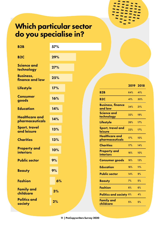## Which particular sector do you specialise in?

| <b>B2B</b>                          | 57% |  |                                          |                  |     |
|-------------------------------------|-----|--|------------------------------------------|------------------|-----|
| <b>B2C</b>                          | 29% |  |                                          |                  |     |
| <b>Science and</b><br>technology    | 27% |  |                                          |                  |     |
| <b>Business,</b><br>finance and law | 25% |  |                                          |                  |     |
| <b>Lifestyle</b>                    | 17% |  | <b>B2B</b>                               | 2019 2018<br>64% | 41% |
| <b>Consumer</b><br>goods            | 16% |  | <b>B2C</b>                               | 41%              | 30% |
| <b>Education</b>                    | 14% |  | <b>Business, finance</b><br>and law      | 34%              | 21% |
| <b>Healthcare and</b>               | 14% |  | <b>Science and</b><br>technology         | 32%              | 19% |
| pharmaceuticals                     |     |  | <b>Lifestyle</b>                         | 26%              | 17% |
| <b>Sport, travel</b><br>and leisure | 13% |  | Sport, travel and<br>leisure             | 22%              | 17% |
| <b>Charities</b>                    | 13% |  | <b>Healthcare and</b><br>pharmaceuticals | 17%              | 10% |
|                                     |     |  | <b>Charities</b>                         | 17%              | 14% |
| <b>Property and</b><br>interiors    | 10% |  | <b>Property and</b><br><b>interiors</b>  | 16%              | 10% |
| <b>Public sector</b>                | 9%  |  | <b>Consumer goods</b>                    | 16%              | 13% |
| <b>Beauty</b>                       | 9%  |  | <b>Education</b>                         | 16%              | 11% |
|                                     |     |  | <b>Public sector</b>                     | 14%              | 9%  |
| <b>Fashion</b>                      | 6%  |  | <b>Beauty</b>                            | 7%               | 5%  |
| <b>Family and</b><br>childcare      | 3%  |  | <b>Fashion</b>                           | 6%               | 6%  |
|                                     |     |  | <b>Politics and society 6%</b>           |                  | 4%  |
| <b>Politics and</b><br>society      | 2%  |  | <b>Family and</b><br>childcare           | 5%               | 5%  |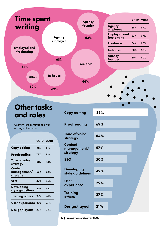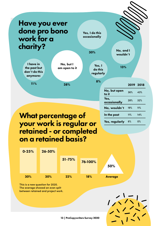## Have you ever done pro bono work for a charity?

I have in the past but don't do this anymore:

Yes, I do this occasionally

30%

Yes, I do this regularly

8%

No, and I wouldn't

13%

| -   |     |  |
|-----|-----|--|
| 11% | 38% |  |
|     |     |  |
|     |     |  |
|     |     |  |
|     |     |  |

No, but I am open to it

> 2019 2018 **No, but open** 36% 43%<br>to it Yes, occasionally 28% 32% No, wouldn't 19% 11% In the past 11% 14% Yes, regularly 6% 0%

## What percentage of your work is regular or retained - or completed on a retained basis?



This is a new question for 2020. The average showed an even split between retained and project work.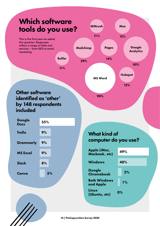## Which software tools do you use?

This is the first year we asked this question. Responses reflect a range of skills and services – from SEO to email marketing.

11%

Buffer

### Other software identified as 'other' by 148 respondents included

| Google<br><b>Docs</b> | 35% |
|-----------------------|-----|
| <b>Trello</b>         | 9%  |
| Grammarly             | 9%  |
| <b>MS Excel</b>       | 9%  |
| Slack                 | 8%  |
| Canva                 | 5%  |
|                       |     |

### What kind of computer do you use?

Google **Analytics** 

50%

Hubspot

Moz

12%

12%

MS Word

**SEMrush** 

11%

Pages

14%

Mailchimp

29%

90%

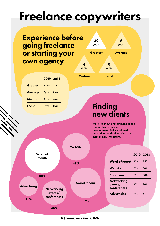# Freelance copywriters

## Experience before going freelance or starting your own agency

|                 | 2019 2018   |             |
|-----------------|-------------|-------------|
| <b>Greatest</b> | 32yrs       | 30yrs       |
| <b>Average</b>  | 5yrs        | 6yrs        |
| <b>Median</b>   | 4yrs        | 4yrs        |
| Least           | <b>Oyrs</b> | <b>Oyrs</b> |



## Finding new clients

Word-of-mouth recommendations remain key to business development. But social media, networking and advertising are increasingly important.

|                                         | <b>Website</b> |                                             |     |           |
|-----------------------------------------|----------------|---------------------------------------------|-----|-----------|
| Word of<br>mouth                        |                |                                             |     | 2019 2018 |
|                                         | 49%            | Word of mouth 90%                           |     | 64%       |
|                                         |                | Website                                     | 50% | 36%       |
| 89%                                     |                | Social media                                | 50% | 38%       |
| <b>Advertising</b><br><b>Networking</b> | Social media   | <b>Networking</b><br>events/<br>conferences | 35% | 26%       |
| events/<br>conferences                  |                | <b>Advertising</b>                          | 10% | 9%        |
| 11%<br>38%                              | 57%            |                                             |     |           |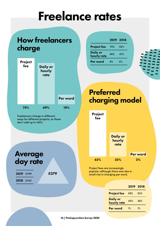# Freelance rates

# How freelancers charge

| <b>Project</b><br>fee | <b>Daily or</b><br>hourly<br>rate |          |
|-----------------------|-----------------------------------|----------|
|                       |                                   | Per word |
| 74%                   | 69%                               | 10%      |

Freelancers charge in different ways for different projects, so these don't add up to 100%.

### Average day rate

2019 £349

2018 £342

£379



|                         | 2019 2018 |     |
|-------------------------|-----------|-----|
| <b>Project fee</b>      | 70%       | 50% |
| Daily or<br>hourly rate | 66%       | 47% |
| Per word                | 9%        | 6%  |
|                         |           |     |



## Preferred charging model

| Project<br>fee |                                   |                 |
|----------------|-----------------------------------|-----------------|
|                | <b>Daily or</b><br>hourly<br>rate |                 |
|                |                                   | <b>Per word</b> |
| 62%            | 35%                               | 3%              |

Project fees are increasingly popular, although there was also a small rise in charging per word.

### 2019 2018

| <b>Project fee</b>             | 59%   | 63%   |
|--------------------------------|-------|-------|
| <b>Daily or</b><br>hourly rate | 40%   | 36%   |
| Per word                       | $1\%$ | $1\%$ |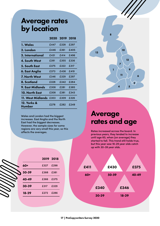### Average rates by location

|                                  | 2020  | 2019 2018 |       |
|----------------------------------|-------|-----------|-------|
| 1. Wales                         | f.447 | £328      | £297  |
| 2. London                        | f.446 | £361      | £405  |
| 3. International                 | £431  | f.414     | £496  |
| <b>4. South West</b>             | £391  | £355      | £336  |
| 5. South East                    | £375  | £322      | £317  |
| 6. East Anglia                   | £373  | £436      | f.419 |
| <b>7. North West</b>             | £346  | £329      | £297  |
| 8. Scotland                      | £328  | £342      | £284  |
| 9. East Midlands                 | £308  | £281      | £385  |
| 10. North East                   | £308  | £381      | £343  |
| <b>11. West Midlands</b>         | £303  | £309      | £326  |
| <b>12. Yorks &amp;</b><br>Humber | £278  | £282      | f.249 |

Wales and London had the biggest increases. East Anglia and the North East had the biggest decreases. However, the sample sizes for some regions are very small this year, so this affects the averages.

|       |           | 2019 2018 |
|-------|-----------|-----------|
| 60+   | £327 £298 |           |
| 50-59 | £388 £381 |           |
| 40-49 | £366 £375 |           |
| 30-39 | £317      | £329      |
| 18-29 | £272      | £286      |



### Average rates and age

Rates increased across the board. In previous years, they tended to increase until age 60, when (on average) they started to fall. This trend still holds true, but this year saw 18-29 year olds catch up with 30-39 year olds.

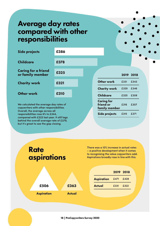## Average day rates compared with other responsibilities

| Side projects                                  | £386 |  |                                |           |      |
|------------------------------------------------|------|--|--------------------------------|-----------|------|
| <b>Childcare</b>                               | £378 |  |                                |           |      |
| <b>Caring for a friend</b><br>or family member | £325 |  |                                | 2019 2018 |      |
| <b>Charity work</b>                            | £321 |  | <b>Other work</b>              | £331      | £343 |
|                                                |      |  | <b>Charity work</b>            | £329      | £346 |
| <b>Other work</b>                              | £310 |  | <b>Childcare</b>               | £325      | £308 |
| We calculated the average day rates of         |      |  | <b>Caring for</b><br>friend or | £316      | £307 |

copywriters with other responsibilities. Overall, the average across all responsibilities rose 6% to £344, compared with £323 last year. It still lags behind the overall average rate of £379, but it's great to see the gap closing.

**Rate** 

#### There was a 10% increase in actual rates – a positive development when it comes to recognising the value copywriters add. Aspirations broadly rose in line with this.

family member

Side projects £315 £371

|                   |           | 2019 2018 |
|-------------------|-----------|-----------|
| <b>Aspiration</b> | £471 £428 |           |
| <b>Actual</b>     | £331      | F.322     |

aspirations Aspiration Actual £506 £363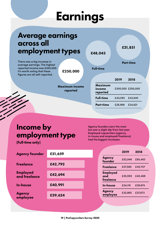# Earnings

#### 2019 2018 Maximum income reported £300,000 £250,000 Full-time £43,092 £43,940 Part-time £26,968 £24,621 £250,000 £48,043 Full-time £31,851 Part-time Maximum income reported Average earnings across all employment types There was a big increase in average earnings. The highest reported income was £250,000. It's worth noting that these figures are all self-reported.

## Income by employment type

(Full-time only)

Agency founders earn the most but saw a slight dip from last year. Employed copywriters (agency, in-house and employed/freelance) had the biggest increases.

| <b>Agency founder</b>            | £51,659 |                                     | 2019    | 2018    |
|----------------------------------|---------|-------------------------------------|---------|---------|
|                                  |         | <b>Agency</b><br>founder            | £52,948 | £60,463 |
| <b>Freelance</b>                 | £42,792 | <b>Freelance</b>                    | £37,585 | £45,757 |
| <b>Employed</b><br>and freelance | £42,694 | <b>Employed</b><br>and<br>freelance | £35,550 | £40,468 |
| <b>In-house</b>                  | £40,991 | In-house                            | £34.119 | £39,874 |
| <b>Agency</b><br>employee        | £39,624 | <b>Agency</b><br>employee           | £32,865 | £37,673 |
|                                  |         |                                     |         |         |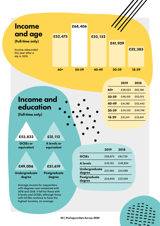

|      | $60+$ | £38,553 | £62,166 |
|------|-------|---------|---------|
|      | 50-59 | £46,100 | £52,013 |
|      | 40-49 | £41,185 | £52,442 |
|      | 30-39 | £34,332 | £40,746 |
|      | 18-29 | £31,241 | £33,641 |
|      |       |         |         |
|      |       |         |         |
|      |       |         |         |
| i or |       |         |         |
| ent  | 2019  | 2018    |         |

2019 2018

### Income and education

(Full-time only)

### £53,833

GCSEs or equivalent £31,11

**A** levels equival

### £49,006

£51,619

Undergraduate degree



Average income for copywriters with degrees rose compared with 2019 and 2018. It fell for those with A levels and GCSEs, although those with GCSEs continue to have the highest incomes, on average.

|                         | 2019    | 2018    |
|-------------------------|---------|---------|
| <b>GCSEs</b>            | £56,873 | £61,720 |
| <b>A</b> levels         | £43,152 | £49,854 |
| Undergraduate<br>degree | £37,360 | £41,598 |
| Postgraduate<br>degree  | £34,650 | £37,259 |
|                         |         |         |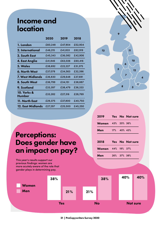### Income and location

|                                  | 2020    | 2019    | 2018    |
|----------------------------------|---------|---------|---------|
| 1. London                        | £60,248 | £47,904 | £52,904 |
| 2. International                 | £46,215 | £41,833 | £62,919 |
| <b>3. South East</b>             | £45,343 | £36,082 | £42,906 |
| 4. East Anglia                   | £41,846 | £63,026 | £60,416 |
| 5. Wales                         | £38,692 | £22,227 | £31,375 |
| <b>6. North West</b>             | £37,078 | £34,563 | £32,396 |
| 7. West Midlands                 | £36,830 | £29,648 | £37,691 |
| 8. South West                    | £36,799 | £34,151 | £38,887 |
| 9. Scotland                      | £33,397 | £38,479 | £36,333 |
| <b>10. Yorks &amp;</b><br>Humber | £33,282 | £27,316 | £28,769 |
| 11. North East                   | £29,375 | £37,800 | £40,750 |
| 12. East Midlands                | £27,297 | £25,500 | £45,250 |



### 2019 Yes No Not sure Women 43% 20% 36% Men 17% 40% 43% 2018 Yes No Not sure Women 44% 19% 37% Men 26% 37% 38%

## Perceptions: Does gender have an impact on pay?

This year's results support our previous findings: women are more acutely aware of the role that gender plays in determining pay.

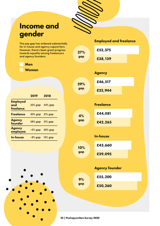

27% gap

gap

gap

gap

gap

## Income and gender

The pay gap has widened substantially for in-house and agency copywriters. However, there's been great progress towards equality among freelancers and agency founders.

| Men |  |
|-----|--|
| .   |  |

Women

|                                     | 2019           | 2018           |
|-------------------------------------|----------------|----------------|
| <b>Employed</b><br>and<br>freelance | 32% gap        | <b>43% gap</b> |
| <b>Freelance</b>                    | 30% gap        | <b>21% gap</b> |
| <b>Agency</b><br>founder            | <b>28% gap</b> | <b>21% gap</b> |
| <b>Agency</b><br>employee           | -5% gap        | <b>26% gap</b> |
| <b>In-house</b>                     | -9% gap        | <b>15% gap</b> |



£52,375 Employed and freelance £38,139 Agency £46,517 29%

Freelance

£32,944

£42,265 £44,081 4%

In-house

10% £43,660

£39,095

### Agency founder

**P** £55,200

£50,260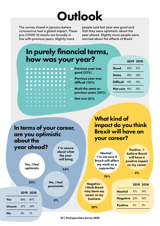# **Outlook**

The survey closed in January before coronavirus had a global impact. These pre-COVID 19 results are broadly in line with previous years. Slightly more

people said last year was good and that they were optimistic about the year ahead. Slightly more people were worried about the effects of Brexit.

What kind of

| how was your year?                                             | In purely financial terms,            |                  |     | 2019 2018 |
|----------------------------------------------------------------|---------------------------------------|------------------|-----|-----------|
| .                                                              | Previous year was                     | Good             | 50% | 51%       |
| .                                                              | good (52%)                            | <b>Same</b>      | 26% | 22%       |
| $0 0 0 0 0 0 0 0 0 0 0$                                        | Previous year was<br>difficult (16%)  | <b>Difficult</b> | 14% | 15%       |
| <b>.</b>                                                       | <b>Much the same as</b>               | Not sure 10%     |     | 12%       |
| <b>AAAAAAA4+</b><br>* * * * * * * * * *<br>* * * * * * * * * * | previous years (26%)<br>Not sure (6%) |                  |     |           |

| In terms of your career,<br>are you optimistic<br>about the |     |                                          |  |                                                           | impact do you think<br><b>Brexit will have on</b><br>your career? |  |                        |                             |                                                                   |                     |    |                                                                                                      |     |
|-------------------------------------------------------------|-----|------------------------------------------|--|-----------------------------------------------------------|-------------------------------------------------------------------|--|------------------------|-----------------------------|-------------------------------------------------------------------|---------------------|----|------------------------------------------------------------------------------------------------------|-----|
|                                                             |     | year ahead?<br>Yes, I feel<br>optimistic |  | I'm unsure<br>about what<br>the year<br>will bring<br>34% |                                                                   |  |                        | <b>Brexit will affect</b>   | Neutral -<br>I'm not sure if<br>my work as a<br>copywriter<br>76% |                     |    | <b>Positive - I</b><br><b>believe Brexit</b><br>will have a<br>positive impact<br>on my career<br>4% |     |
|                                                             |     | 63%                                      |  | No, I feel<br>pessimistic                                 |                                                                   |  | <b>Negative -</b>      | <b>I think Brexit</b>       |                                                                   |                     |    | 2019 2018                                                                                            |     |
|                                                             |     | 2019 2018                                |  |                                                           |                                                                   |  |                        | may harm my<br>career or my |                                                                   | <b>Neutral</b>      |    | 71%                                                                                                  | 74% |
| Yes                                                         | 59% | 67%                                      |  | 3%                                                        |                                                                   |  | <b>business</b>        |                             |                                                                   | <b>Negative 25%</b> |    |                                                                                                      | 22% |
| <b>Unsure</b><br>37%<br>32%                                 |     |                                          |  |                                                           |                                                                   |  | <b>Positive</b><br>20% |                             |                                                                   |                     | 4% | 4%                                                                                                   |     |
| <b>No</b>                                                   | 4%  | 1%                                       |  |                                                           |                                                                   |  |                        |                             |                                                                   |                     |    |                                                                                                      |     |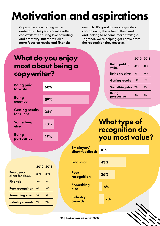# Motivation and aspirations

Copywriters are getting more ambitious. This year's results reflect copywriters' enduring love of writing and creativity. But there's also more focus on results and financial

rewards. It's great to see copywriters championing the value of their work and looking to become more strategic. Together, we're helping get copywriters the recognition they deserve.

Being paid to

being paid to  $45\%$  42%

Being creative 29% 34%

Getting results 15% 11%

2019 2018

## What do you enjoy most about being a copywriter?

| <b>Being paid</b><br>to write<br><b>Being</b><br>creative |     | 60%       |                              |     |              | Something else 7%                     |    | 9% |
|-----------------------------------------------------------|-----|-----------|------------------------------|-----|--------------|---------------------------------------|----|----|
|                                                           |     | 59%       |                              |     | <b>Being</b> | persuasive                            | 4% | 4% |
| <b>Getting results</b><br>for client                      |     | 34%       |                              |     |              |                                       |    |    |
| <b>Something</b><br>else                                  |     | 13%       |                              |     |              | <b>What type of</b><br>recognition do |    |    |
| <b>Being</b><br>persuasive                                |     | 17%       |                              |     |              | you most value?                       |    |    |
|                                                           |     |           | Employer/<br>client feedback | 81% |              |                                       |    |    |
|                                                           |     | 2019 2018 | <b>Financial</b>             | 43% |              |                                       |    |    |
| Employer/<br>client feedback                              | 69% | 69%       | <b>Peer</b><br>recognition   | 26% |              |                                       |    |    |
| <b>Financial</b>                                          | 19% | 16%       |                              |     |              |                                       |    |    |
| <b>Peer recognition</b>                                   | 8%  | 10%       | <b>Something</b><br>else     | 6%  |              |                                       |    |    |
| <b>Something else</b>                                     | 3%  | 3%        | <b>Industry</b>              |     |              |                                       |    |    |
| <b>Industry awards</b> 1%                                 |     | 2%        | awards                       |     | 7%           |                                       |    |    |
|                                                           |     |           |                              |     |              |                                       |    |    |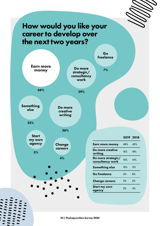## How would you like your career to develop over the next two years?

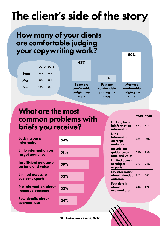# The client's side of the story

## How many of your clients are comfortable judging your copywriting work?

|                            |            |            | 42%                            |                        |                                |  |
|----------------------------|------------|------------|--------------------------------|------------------------|--------------------------------|--|
|                            |            | 2019 2018  |                                |                        |                                |  |
| <b>Some</b><br><b>Most</b> | 49%<br>41% | 44%<br>47% |                                | 8%                     |                                |  |
| Few                        | 10%        | 9%         | <b>Some are</b><br>comfortable | Few are<br>comfortable | <b>Most are</b><br>comfortable |  |
|                            |            |            | judging my<br>copy             | judging my<br>copy     | judging my<br>copy             |  |

## What are the most common problems with briefs you receive?

| <b>Lacking basic</b><br>information               | 54% |
|---------------------------------------------------|-----|
| Little information on<br>target audience          | 51% |
| <b>Insufficient guidance</b><br>on tone and voice | 39% |
| <b>Limited access to</b><br>subject experts       | 33% |
| No information about<br>intended outcome          | 32% |
| <b>Few details about</b><br>eventual use          | 24% |
|                                                   |     |

| Little<br>information<br>on target<br>audience     | 48% |
|----------------------------------------------------|-----|
| Insufficient<br>guidance on<br>tone and voice      | 38% |
| <b>Limited access</b><br>to subject<br>experts     | 31% |
| <b>No information</b><br>about intended<br>outcome | 31% |
| <b>Few details</b><br>about<br>eventual use        | 24% |

Lacking basic ininformation information

50%

2019 2018

56% 41%

48% 39%

38% 29%

31% 24%

31% 25%

24% 18%

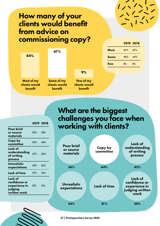## How many of your clients would benefit from advice on commissioning copy?



| What are the biggest     |  |
|--------------------------|--|
| challenges you face when |  |
| working with clients?    |  |

2019 2018

| <b>Poor brief</b><br>or source<br>materials | Copy by<br>committee | Lack of<br>understanding<br>of writing<br>process                    |
|---------------------------------------------|----------------------|----------------------------------------------------------------------|
| 56%                                         | 64%                  | 42%                                                                  |
| <b>Unrealistic</b><br>expectations          | <b>Lack of time</b>  | Lack of<br>confidence or<br>experience in<br>judging written<br>work |
| 34%                                         | 31%                  | 20%                                                                  |

| <b>Poor brief</b><br>or source<br>materials                          | $55\%$ | 38% |
|----------------------------------------------------------------------|--------|-----|
| Copy by<br>committee                                                 | 53%    | 48% |
| Lack of<br>understanding<br>of writing<br>process                    | 37%    | 25% |
| Unrealistic<br>expectations                                          | 29%    | 22% |
| Lack of time                                                         | 27%    | 23% |
| Lack of<br>confidence or<br>experience in<br>judging<br>written work | $19\%$ | 15% |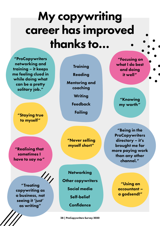# My copywriting career has improved thanks to…

"ProCopywriters networking and training – it keeps me feeling clued in while doing what can be a pretty solitary job."

> "Staying true to myself"

"Realising that sometimes I have to say no"

 $^{\prime\prime}$ "Treating copywriting as a business, not seeing it 'just' as writing"

**Training** 

Reading

Mentoring and coaching

**Writing** 

Feedback

**Failing** 

"Never selling myself short"

**Networking** Other copywriters Social media Self-belief Confidence

28 | ProCopywriters Survey 2020

 "Focusing on what I do best and doing it well"

> "Knowing my worth"

"Being in the **ProCopywriters** directory – it's brought me far more paying work than any other channel."

> "Using an accountant – a godsend!"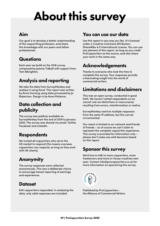# About this survey

### Aim

Our goal is to develop a better understanding of the copywriting profession, and share this knowledge with our peers and fellow professionals.

### **Questions**

Each year we build on the 2016 survey composed by Joanna Tidball with support from Tom Albrighton.

### Analysis and reporting

We take the data from SurveyMonkey and analyse it using Excel. This report was written by Anna Gunning using data processed by Jo Robertson. Design is by Anna Patience.

### Data collection and publicity

The survey was publicly available on SurveyMonkey from the end of 2019 to January 2020. The survey was shared via email, Twitter, Facebook and LinkedIn.

### **Respondents**

We invited all copywriters who serve the UK market to respond (this means overseas copywriters can respond, as long as they work with UK clients).

### Anonymity

The survey responses were collected anonymously. This was a deliberate choice to encourage honest reporting of earnings and experiences.

### **Dataset**

640 copywriters responded. In analysing the data, only valid responses are included.

### You can use our data

Use this report in any way you like. It's licensed under a Creative Commons Attribution-ShareAlike 4.0 International License. You can use any element of this report, as long as you credit ProCopywriters as the source, and also share your work in the same way.

### Acknowledgements

Thanks to everyone who took the time to complete this survey. Your responses provide a fascinating insight into the world of commercial writers.

### Limitations and disclaimers

This was an open survey, conducted in good faith. We haven't vetted respondents so we cannot rule out distortions or inaccuracies resulting from errors, misinformation or malice.

SurveyMonkey restricts multiple responses from the same IP address, but this can be circumvented.

Our reach is limited to our network and friends of friends – so of course we can't claim to represent the complete copywriter experience. This survey is provided for information only – please don't make any wild decisions based on this report.

### Sponsor this survey

We'd love to talk to more copywriters, more freelancers and more in-house creatives next year. Contact info@procopywriters.co.uk for more information on sponsoring this survey.



Published by ProCopywriters – the Alliance of Commercial Writers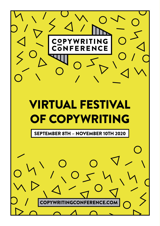